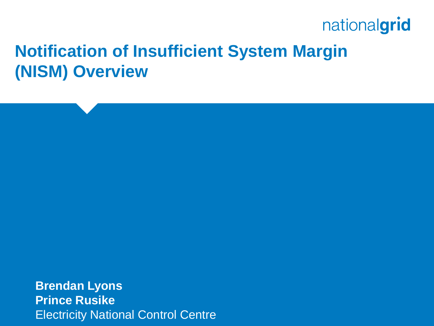## **Notification of Insufficient System Margin (NISM) Overview**

**Brendan Lyons Prince Rusike** Electricity National Control Centre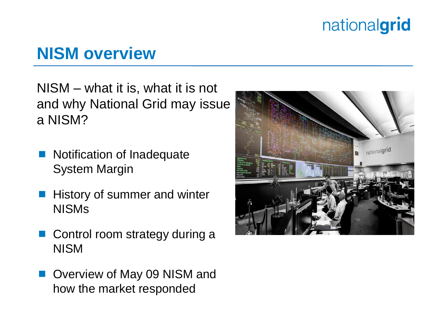## **NISM overview**

NISM – what it is, what it is not and why National Grid may issue a NISM?

- Notification of Inadequate System Margin
- History of summer and winter NISMs
- Control room strategy during a NISM
- Overview of May 09 NISM and how the market responded

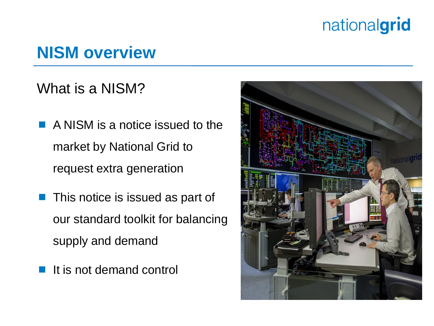## **NISM overview**

#### What is a NISM?

- **A NISM is a notice issued to the** market by National Grid to request extra generation
- **This notice is issued as part of** our standard toolkit for balancing supply and demand
- It is not demand control

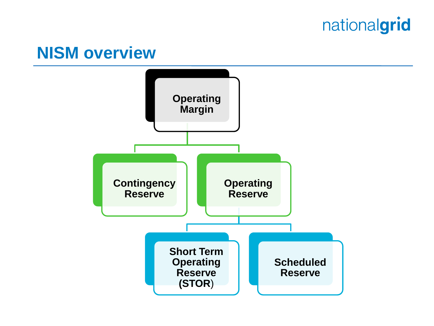#### **NISM overview**

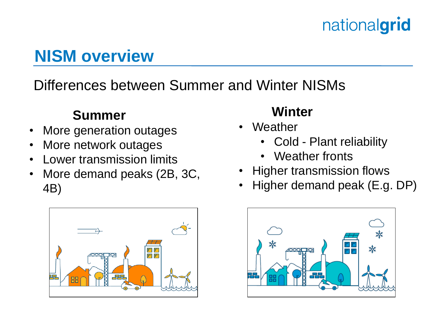# **NISM overview**

#### Differences between Summer and Winter NISMs

#### **Summer**

- More generation outages
- More network outages
- Lower transmission limits
- More demand peaks (2B, 3C, 4B)



#### **Winter**

- Weather
	- Cold Plant reliability
	- Weather fronts
- Higher transmission flows
- Higher demand peak (E.g. DP)

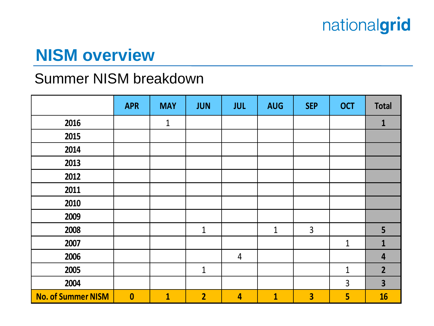## **NISM overview**

#### **Summer NISM breakdown**

|                           | <b>APR</b>       | <b>MAY</b>   | <b>JUN</b>     | <b>JUL</b>              | <b>AUG</b>   | <b>SEP</b>              | <b>OCT</b>     | <b>Total</b>            |
|---------------------------|------------------|--------------|----------------|-------------------------|--------------|-------------------------|----------------|-------------------------|
| 2016                      |                  | $\mathbf{1}$ |                |                         |              |                         |                | $\mathbf{1}$            |
| 2015                      |                  |              |                |                         |              |                         |                |                         |
| 2014                      |                  |              |                |                         |              |                         |                |                         |
| 2013                      |                  |              |                |                         |              |                         |                |                         |
| 2012                      |                  |              |                |                         |              |                         |                |                         |
| 2011                      |                  |              |                |                         |              |                         |                |                         |
| 2010                      |                  |              |                |                         |              |                         |                |                         |
| 2009                      |                  |              |                |                         |              |                         |                |                         |
| 2008                      |                  |              | $\mathbf{1}$   |                         | $\mathbf{1}$ | $\overline{3}$          |                | 5                       |
| 2007                      |                  |              |                |                         |              |                         | $\mathbf{1}$   | $\mathbf{1}$            |
| 2006                      |                  |              |                | $\overline{4}$          |              |                         |                | $\overline{\mathbf{4}}$ |
| 2005                      |                  |              | $\mathbf{1}$   |                         |              |                         | $\mathbf{1}$   | $\overline{2}$          |
| 2004                      |                  |              |                |                         |              |                         | $\overline{3}$ | $\overline{\mathbf{3}}$ |
| <b>No. of Summer NISM</b> | $\boldsymbol{0}$ | $\mathbf{1}$ | $\overline{2}$ | $\overline{\mathbf{4}}$ | $\mathbf{1}$ | $\overline{\mathbf{3}}$ | 5              | 16                      |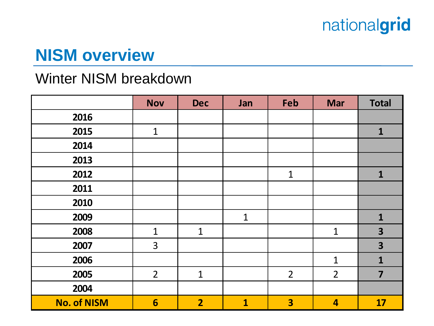## **NISM overview**

#### Winter NISM breakdown

|                    | <b>Nov</b>      | <b>Dec</b>     | Jan          | Feb                     | <b>Mar</b>              | <b>Total</b>            |
|--------------------|-----------------|----------------|--------------|-------------------------|-------------------------|-------------------------|
| 2016               |                 |                |              |                         |                         |                         |
| 2015               | $\mathbf 1$     |                |              |                         |                         | $\mathbf{1}$            |
| 2014               |                 |                |              |                         |                         |                         |
| 2013               |                 |                |              |                         |                         |                         |
| 2012               |                 |                |              | $\mathbf 1$             |                         | $\mathbf{1}$            |
| 2011               |                 |                |              |                         |                         |                         |
| 2010               |                 |                |              |                         |                         |                         |
| 2009               |                 |                | $\mathbf{1}$ |                         |                         | $\mathbf{1}$            |
| 2008               | $\mathbf{1}$    | $\mathbf{1}$   |              |                         | $\mathbf{1}$            | $\overline{\mathbf{3}}$ |
| 2007               | $\overline{3}$  |                |              |                         |                         | $\overline{\mathbf{3}}$ |
| 2006               |                 |                |              |                         | $\mathbf{1}$            | $\mathbf{1}$            |
| 2005               | $\overline{2}$  | $\mathbf{1}$   |              | $\overline{2}$          | $\overline{2}$          | $\overline{7}$          |
| 2004               |                 |                |              |                         |                         |                         |
| <b>No. of NISM</b> | $6\phantom{1}6$ | $\overline{2}$ | $\mathbf{1}$ | $\overline{\mathbf{3}}$ | $\overline{\mathbf{4}}$ | 17                      |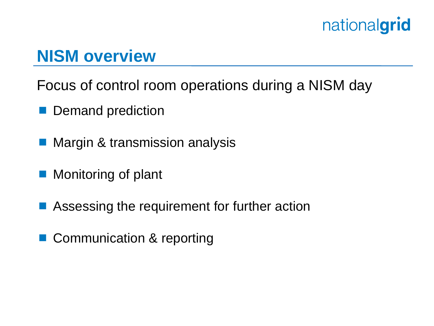#### **NISM overview**

Focus of control room operations during a NISM day

- Demand prediction
- Margin & transmission analysis
- Monitoring of plant
- Assessing the requirement for further action
- Communication & reporting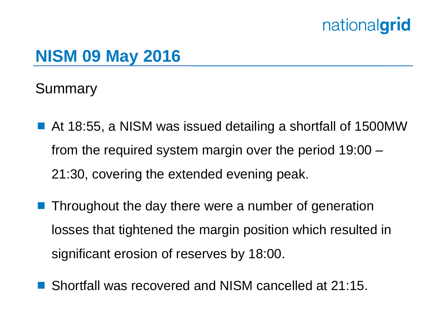#### **NISM 09 May 2016**

Summary

- At 18:55, a NISM was issued detailing a shortfall of 1500MW from the required system margin over the period 19:00 – 21:30, covering the extended evening peak.
- **Throughout the day there were a number of generation** losses that tightened the margin position which resulted in significant erosion of reserves by 18:00.
- Shortfall was recovered and NISM cancelled at 21:15.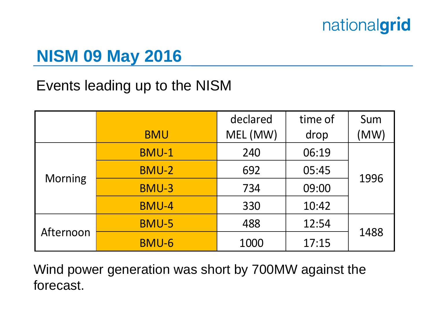## **NISM 09 May 2016**

#### Events leading up to the NISM

|                |              | declared | time of | Sum  |  |
|----------------|--------------|----------|---------|------|--|
|                | <b>BMU</b>   | MEL (MW) | drop    | (MW) |  |
| <b>Morning</b> | <b>BMU-1</b> | 240      | 06:19   |      |  |
|                | <b>BMU-2</b> | 692      | 05:45   | 1996 |  |
|                | <b>BMU-3</b> | 734      | 09:00   |      |  |
|                | <b>BMU-4</b> | 330      | 10:42   |      |  |
| Afternoon      | <b>BMU-5</b> | 488      | 12:54   | 1488 |  |
|                | BMU-6        | 1000     | 17:15   |      |  |

Wind power generation was short by 700MW against the forecast.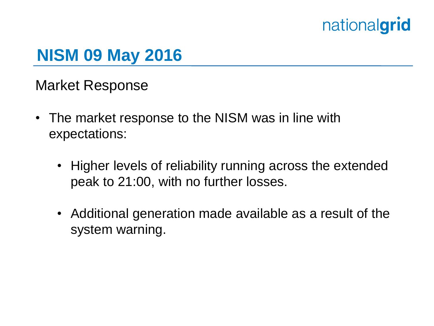#### **NISM 09 May 2016**

Market Response

- The market response to the NISM was in line with expectations:
	- Higher levels of reliability running across the extended peak to 21:00, with no further losses.
	- Additional generation made available as a result of the system warning.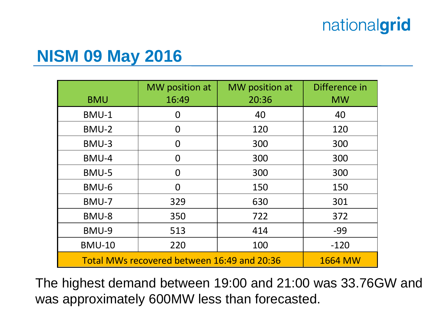#### **NISM 09 May 2016**

| <b>BMU</b>                                  | MW position at<br>16:49 | MW position at<br>20:36 | Difference in<br><b>MW</b> |
|---------------------------------------------|-------------------------|-------------------------|----------------------------|
| BMU-1                                       | 0                       | 40                      | 40                         |
| BMU-2                                       | 0                       | 120                     | 120                        |
| BMU-3                                       | 0                       | 300                     | 300                        |
| BMU-4                                       | 0                       | 300                     | 300                        |
| BMU-5                                       | 0                       | 300                     | 300                        |
| BMU-6                                       | $\overline{0}$          | 150                     | 150                        |
| BMU-7                                       | 329                     | 630                     | 301                        |
| BMU-8                                       | 350                     | 722                     | 372                        |
| BMU-9                                       | 513                     | 414                     | $-99$                      |
| <b>BMU-10</b>                               | 220                     | 100                     | $-120$                     |
| Total MWs recovered between 16:49 and 20:36 | <b>1664 MW</b>          |                         |                            |

The highest demand between 19:00 and 21:00 was 33.76GW and was approximately 600MW less than forecasted.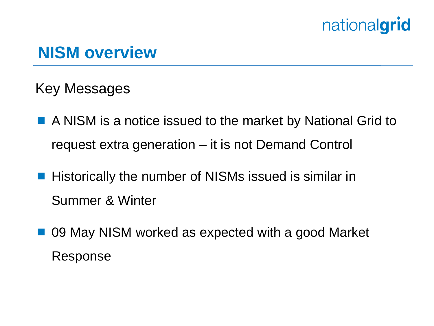#### **NISM overview**

Key Messages

- A NISM is a notice issued to the market by National Grid to request extra generation – it is not Demand Control
- **Historically the number of NISMs issued is similar in** Summer & Winter
- 09 May NISM worked as expected with a good Market Response